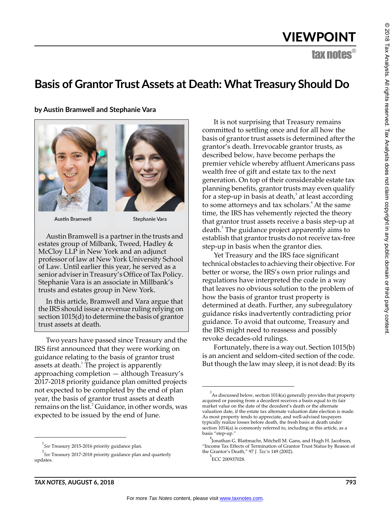# VIEWPOINT

tax notes®

# **Basis of Grantor Trust Assets at Death: What Treasury Should Do**

**by Austin Bramwell and Stephanie Vara**





**Austin Bramwell** 

Stephanie Vara

Austin Bramwell is a partner in the trusts and estates group of Milbank, Tweed, Hadley & McCloy LLP in New York and an adjunct professor of law at New York University School of Law. Until earlier this year, he served as a senior adviser in Treasury's Office of Tax Policy. Stephanie Vara is an associate in Millbank's trusts and estates group in New York.

In this article, Bramwell and Vara argue that the IRS should issue a revenue ruling relying on section 1015(d) to determine the basis of grantor trust assets at death.

Two years have passed since Treasury and the IRS first announced that they were working on guidance relating to the basis of grantor trust assets at death. $^1$  The project is apparently approaching completion — although Treasury's 2017-2018 priority guidance plan omitted projects not expected to be completed by the end of plan year, the basis of grantor trust assets at death remains on the list.<sup>2</sup> Guidance, in other words, was expected to be issued by the end of June.

It is not surprising that Treasury remains committed to settling once and for all how the basis of grantor trust assets is determined after the grantor's death. Irrevocable grantor trusts, as described below, have become perhaps the premier vehicle whereby affluent Americans pass wealth free of gift and estate tax to the next generation. On top of their considerable estate tax planning benefits, grantor trusts may even qualify for a step-up in basis at death, $3$  at least according to some attorneys and tax scholars.<sup>4</sup> At the same time, the IRS has vehemently rejected the theory that grantor trust assets receive a basis step-up at death.<sup>5</sup> The guidance project apparently aims to establish that grantor trusts do not receive tax-free step-up in basis when the grantor dies.

Yet Treasury and the IRS face significant technical obstacles to achieving their objective. For better or worse, the IRS's own prior rulings and regulations have interpreted the code in a way that leaves no obvious solution to the problem of how the basis of grantor trust property is determined at death. Further, any subregulatory guidance risks inadvertently contradicting prior guidance. To avoid that outcome, Treasury and the IRS might need to reassess and possibly revoke decades-old rulings.

Fortunately, there is a way out. Section 1015(b) is an ancient and seldom-cited section of the code. But though the law may sleep, it is not dead: By its

<sup>5</sup>ECC 200937028.

<sup>1</sup> *See* Treasury 2015-2016 priority guidance plan.

<sup>2</sup> *See* Treasury 2017-2018 priority guidance plan and quarterly updates.

 $^3$ As discussed below, section 1014(a) generally provides that property acquired or passing from a decedent receives a basis equal to its fair market value on the date of the decedent's death or the alternate valuation date, if the estate tax alternate valuation date election is made. As most property tends to appreciate, and well-advised taxpayers typically realize losses before death, the fresh basis at death under section 1014(a) is commonly referred to, including in this article, as a basis "step-up."

<sup>4</sup> Jonathan G. Blattmachr, Mitchell M. Gans, and Hugh H. Jacobson, "Income Tax Effects of Termination of Grantor Trust Status by Reason of the Grantor's Death," 97 *J. Tax'n* 149 (2002).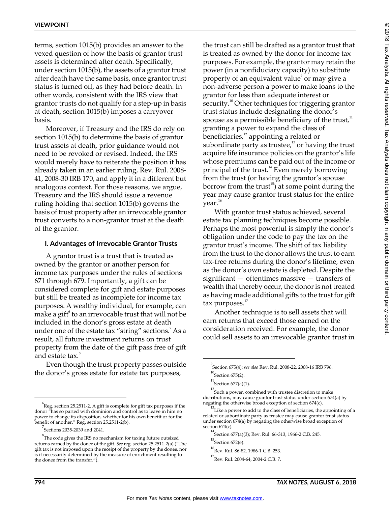terms, section 1015(b) provides an answer to the vexed question of how the basis of grantor trust assets is determined after death. Specifically, under section 1015(b), the assets of a grantor trust after death have the same basis, once grantor trust status is turned off, as they had before death. In other words, consistent with the IRS view that grantor trusts do not qualify for a step-up in basis at death, section 1015(b) imposes a carryover basis.

Moreover, if Treasury and the IRS do rely on section 1015(b) to determine the basis of grantor trust assets at death, prior guidance would not need to be revoked or revised. Indeed, the IRS would merely have to reiterate the position it has already taken in an earlier ruling, Rev. Rul. 2008- 41, 2008-30 IRB 170, and apply it in a different but analogous context. For those reasons, we argue, Treasury and the IRS should issue a revenue ruling holding that section 1015(b) governs the basis of trust property after an irrevocable grantor trust converts to a non-grantor trust at the death of the grantor.

#### **I. Advantages of Irrevocable Grantor Trusts**

A grantor trust is a trust that is treated as owned by the grantor or another person for income tax purposes under the rules of sections 671 through 679. Importantly, a gift can be considered complete for gift and estate purposes but still be treated as incomplete for income tax purposes. A wealthy individual, for example, can make a gift $\lq$  to an irrevocable trust that will not be included in the donor's gross estate at death under one of the estate tax "string" sections.<sup>7</sup> As a result, all future investment returns on trust property from the date of the gift pass free of gift and estate tax.<sup>8</sup>

Even though the trust property passes outside the donor's gross estate for estate tax purposes,

the trust can still be drafted as a grantor trust that is treated as owned by the donor for income tax purposes. For example, the grantor may retain the power (in a nonfiduciary capacity) to substitute property of an equivalent value $^{\circ}$  or may give a non-adverse person a power to make loans to the grantor for less than adequate interest or security.<sup>10</sup> Other techniques for triggering grantor trust status include designating the donor's spouse as a permissible beneficiary of the trust, $11$ granting a power to expand the class of beneficiaries,<sup>12</sup> appointing a related or subordinate party as trustee, $13$  or having the trust acquire life insurance policies on the grantor's life whose premiums can be paid out of the income or principal of the trust.<sup>14</sup> Even merely borrowing from the trust (or having the grantor's spouse borrow from the trust<sup>15</sup>) at some point during the year may cause grantor trust status for the entire  $year.<sup>16</sup>$ 

With grantor trust status achieved, several estate tax planning techniques become possible. Perhaps the most powerful is simply the donor's obligation under the code to pay the tax on the grantor trust's income. The shift of tax liability from the trust to the donor allows the trust to earn tax-free returns during the donor's lifetime, even as the donor's own estate is depleted. Despite the significant — oftentimes massive — transfers of wealth that thereby occur, the donor is not treated as having made additional gifts to the trust for gift  $tax$  purposes. $17$ 

Another technique is to sell assets that will earn returns that exceed those earned on the consideration received. For example, the donor could sell assets to an irrevocable grantor trust in

<sup>6</sup> Reg. section 25.2511-2. A gift is complete for gift tax purposes if the donor "has so parted with dominion and control as to leave in him no power to change its disposition, whether for his own benefit or for the benefit of another." Reg. section 25.2511-2(b).

 $7^7$ Sections 2035-2039 and 2041.

 $8<sup>8</sup>$ The code gives the IRS no mechanism for taxing future outsized returns earned by the donee of the gift. *See* reg. section 25.2511-2(a) ("The gift tax is not imposed upon the receipt of the property by the donee, nor is it necessarily determined by the measure of enrichment resulting to the donee from the transfer.").

<sup>9</sup> Section 675(4); *see also* Rev. Rul. 2008-22, 2008-16 IRB 796.  $^{10}$ Section 675(2).

 $^{11}$ Section 677(a)(1).

 $^{12}$ Such a power, combined with trustee discretion to make distributions, may cause grantor trust status under section 674(a) by negating the otherwise broad exception of section 674(c).

 $^{13}$ Like a power to add to the class of beneficiaries, the appointing of a related or subordinate party as trustee may cause grantor trust status under section 674(a) by negating the otherwise broad exception of section 674(c).

<sup>&</sup>lt;sup>14</sup> Section 677(a)(3); Rev. Rul. 66-313, 1966-2 C.B. 245.

 $^{15}$ Section 672(e).

<sup>16</sup> Rev. Rul. 86-82, 1986-1 C.B. 253.

 $^{17}\!$  Rev. Rul. 2004-64, 2004-2 C.B. 7.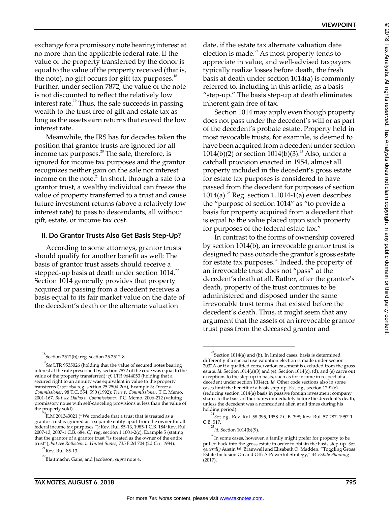exchange for a promissory note bearing interest at no more than the applicable federal rate. If the value of the property transferred by the donor is equal to the value of the property received (that is, the note), no gift occurs for gift tax purposes. $18$ Further, under section 7872, the value of the note is not discounted to reflect the relatively low interest rate.<sup>19</sup> Thus, the sale succeeds in passing wealth to the trust free of gift and estate tax as long as the assets earn returns that exceed the low interest rate.

Meanwhile, the IRS has for decades taken the position that grantor trusts are ignored for all income tax purposes. $^{20}$  The sale, therefore, is ignored for income tax purposes and the grantor recognizes neither gain on the sale nor interest income on the note.<sup>21</sup> In short, through a sale to a grantor trust, a wealthy individual can freeze the value of property transferred to a trust and cause future investment returns (above a relatively low interest rate) to pass to descendants, all without gift, estate, or income tax cost.

#### **II. Do Grantor Trusts Also Get Basis Step-Up?**

According to some attorneys, grantor trusts should qualify for another benefit as well: The basis of grantor trust assets should receive a stepped-up basis at death under section  $1014.^2$ Section 1014 generally provides that property acquired or passing from a decedent receives a basis equal to its fair market value on the date of the decedent's death or the alternate valuation

Section 1014 may apply even though property does not pass under the decedent's will or as part of the decedent's probate estate. Property held in most revocable trusts, for example, is deemed to have been acquired from a decedent under section 1014(b)(2) or section  $1014(b)(3)$ .<sup>24</sup> Also, under a catchall provision enacted in 1954, almost all property included in the decedent's gross estate for estate tax purposes is considered to have passed from the decedent for purposes of section 1014(a).<sup>25</sup> Reg. section 1.1014-1(a) even describes the "purpose of section 1014" as "to provide a basis for property acquired from a decedent that is equal to the value placed upon such property for purposes of the federal estate tax."

In contrast to the forms of ownership covered by section 1014(b), an irrevocable grantor trust is designed to pass outside the grantor's gross estate for estate tax purposes.<sup>26</sup> Indeed, the property of an irrevocable trust does not "pass" at the decedent's death at all. Rather, after the grantor's death, property of the trust continues to be administered and disposed under the same irrevocable trust terms that existed before the decedent's death. Thus, it might seem that any argument that the assets of an irrevocable grantor trust pass from the deceased grantor and

date, if the estate tax alternate valuation date election is made. $^{23}$  As most property tends to appreciate in value, and well-advised taxpayers typically realize losses before death, the fresh basis at death under section 1014(a) is commonly referred to, including in this article, as a basis "step-up." The basis step-up at death eliminates inherent gain free of tax.

 $^{18}$ Section 2512(b); reg. section 25.2512-8.

<sup>19</sup> *See* LTR 9535026 (holding that the value of secured notes bearing interest at the rate prescribed by section 7872 of the code was equal to the value of the property transferred); *cf.* LTR 9644053 (holding that a secured right to an annuity was equivalent in value to the property transferred); *see also* reg. section 25.2504-2(d), Example 3; *Frazee v. Commissioner*, 98 T.C. 554, 590 (1992); *True v. Commissioner*, T.C. Memo. 2001-167. *But see Dallas v. Commissioner*, T.C. Memo. 2006-212 (valuing promissory notes with self-canceling provisions at less than the value of the property sold).

ILM 201343021 ("We conclude that a trust that is treated as a grantor trust is ignored as a separate entity apart from the owner for all federal income tax purposes."); Rev. Rul. 85-13, 1985-1 C.B. 184; Rev. Rul. 2007-13, 2007-1 C.B. 684. *Cf*. reg. section 1.1001-2(c), Example 5 (stating that the grantor of a grantor trust "is treated as the owner of the entire trust"); *but see Rothstein v. United States*, 735 F.2d 704 (2d Cir. 1984).

 $^{21}$ Rev. Rul. 85-13.

<sup>&</sup>lt;sup>22</sup>Blattmachr, Gans, and Jacobson, *supra* note 4.

 $^{23}$ Section 1014(a) and (b). In limited cases, basis is determined differently if a special use valuation election is made under section 2032A or if a qualified conservation easement is excluded from the gross estate. *Id.* Section 1014(a)(3) and (4). Section 1014(c), (d), and (e) carve out exceptions to the step-up in basis, such as for income in respect of a decedent under section 1014(c). *Id.* Other code sections also in some cases limit the benefit of a basis step-up. *See*, *e.g.*, section 1291(e) (reducing section 1014(a) basis in passive foreign investment company shares to the basis of the shares immediately before the decedent's death, unless the decedent was a nonresident alien at all times during his holding period).

<sup>24</sup> *See, e.g.*, Rev. Rul. 58-395, 1958-2 C.B. 398; Rev. Rul. 57-287, 1957-1

C.B. 517. 25 *Id.* Section 1014(b)(9).

<sup>&</sup>lt;sup>26</sup>In some cases, however, a family might prefer for property to be pulled back into the gross estate in order to obtain the basis step-up. *See generally* Austin W. Bramwell and Elisabeth O. Madden, "Toggling Gross Estate Inclusion On and Off: A Powerful Strategy," 44 *Estate Planning* (2017).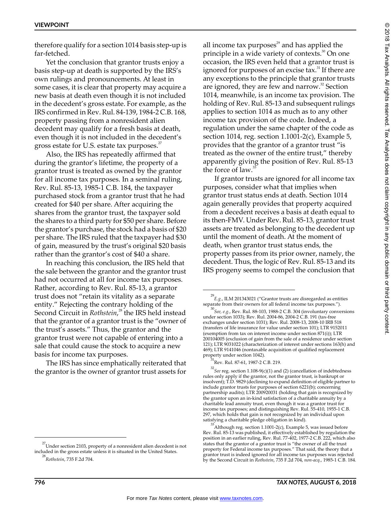therefore qualify for a section 1014 basis step-up is far-fetched.

Yet the conclusion that grantor trusts enjoy a basis step-up at death is supported by the IRS's own rulings and pronouncements. At least in some cases, it is clear that property may acquire a new basis at death even though it is not included in the decedent's gross estate. For example, as the IRS confirmed in Rev. Rul. 84-139, 1984-2 C.B. 168, property passing from a nonresident alien decedent may qualify for a fresh basis at death, even though it is not included in the decedent's gross estate for U.S. estate tax purposes.<sup>27</sup>

Also, the IRS has repeatedly affirmed that during the grantor's lifetime, the property of a grantor trust is treated as owned by the grantor for all income tax purposes. In a seminal ruling, Rev. Rul. 85-13, 1985-1 C.B. 184, the taxpayer purchased stock from a grantor trust that he had created for \$40 per share. After acquiring the shares from the grantor trust, the taxpayer sold the shares to a third party for \$50 per share. Before the grantor's purchase, the stock had a basis of \$20 per share. The IRS ruled that the taxpayer had \$30 of gain, measured by the trust's original \$20 basis rather than the grantor's cost of \$40 a share.

In reaching this conclusion, the IRS held that the sale between the grantor and the grantor trust had not occurred at all for income tax purposes. Rather, according to Rev. Rul. 85-13, a grantor trust does not "retain its vitality as a separate entity." Rejecting the contrary holding of the Second Circuit in *Rothstein*, 28 the IRS held instead that the grantor of a grantor trust is the "owner of the trust's assets." Thus, the grantor and the grantor trust were not capable of entering into a sale that could cause the stock to acquire a new basis for income tax purposes.

The IRS has since emphatically reiterated that the grantor is the owner of grantor trust assets for all income tax purposes<sup>29</sup> and has applied the principle in a wide variety of contexts. $30^{\circ}$  On one occasion, the IRS even held that a grantor trust is ignored for purposes of an excise tax.<sup>31</sup> If there are any exceptions to the principle that grantor trusts are ignored, they are few and narrow.<sup>32</sup> Section 1014, meanwhile, is an income tax provision. The holding of Rev. Rul. 85-13 and subsequent rulings applies to section 1014 as much as to any other income tax provision of the code. Indeed, a regulation under the same chapter of the code as section 1014, reg. section 1.1001-2(c), Example 5, provides that the grantor of a grantor trust "is treated as the owner of the entire trust," thereby apparently giving the position of Rev. Rul. 85-13 the force of law. $\overline{3}$ 

If grantor trusts are ignored for all income tax purposes, consider what that implies when grantor trust status ends at death. Section 1014 again generally provides that property acquired from a decedent receives a basis at death equal to its then-FMV. Under Rev. Rul. 85-13, grantor trust assets are treated as belonging to the decedent up until the moment of death. At the moment of death, when grantor trust status ends, the property passes from its prior owner, namely, the decedent. Thus, the logic of Rev. Rul. 85-13 and its IRS progeny seems to compel the conclusion that

<sup>&</sup>lt;sup>27</sup>Under section 2103, property of a nonresident alien decedent is not included in the gross estate unless it is situated in the United States.

<sup>28</sup>*Rothstein*, 735 F.2d 704.

 $^{29}E$ .g., ILM 201343021 ("Grantor trusts are disregarded as entities separate from their owners for all federal income tax purposes.").

<sup>&</sup>lt;sup>30</sup> See, e.g., Rev. Rul. 88-103, 1988-2 C.B. 304 (involuntary conversions under section 1033); Rev. Rul. 2004-86, 2004-2 C.B. 191 (tax-free exchanges under section 1031); Rev. Rul. 2008-13, 2008-10 IRB 518 (transfers of life insurance for value under section 101); LTR 9152011 (exemption from tax on interest income under section 871(i)); LTR 200104005 (exclusion of gain from the sale of a residence under section 121); LTR 9031022 (characterization of interest under sections 163(h) and 469); LTR 9141046 (nontaxable acquisition of qualified replacement property under section 1042).

Rev. Rul. 87-61, 1987-2 C.B. 219.

<sup>32</sup> *See* reg. section 1.108-9(c)(1) and (2) (cancellation of indebtedness rules only apply if the grantor, not the grantor trust, is bankrupt or insolvent); T.D. 9829 (declining to expand definition of eligible partner to include grantor trusts for purposes of section 6221(b); concerning partnership audits); LTR 200920031 (holding that gain is recognized by the grantor upon an in-kind satisfaction of a charitable annuity by a charitable lead annuity trust, even though it was a grantor trust for income tax purposes; and distinguishing Rev. Rul. 55-410, 1955-1 C.B. 297, which holds that gain is not recognized by an individual upon satisfying a charitable pledge obligation in kind).

<sup>33</sup> Although reg. section 1.1001-2(c), Example 5, was issued before Rev. Rul. 85-13 was published, it effectively established by regulation the position in an earlier ruling, Rev. Rul. 77-402, 1977-2 C.B. 222, which also states that the grantor of a grantor trust is "the owner of all the trust property for Federal income tax purposes." That said, the theory that a grantor trust is indeed ignored for all income tax purposes was rejected by the Second Circuit in *Rothstein*, 735 F.2d 704, *non-acq.*, 1985-1 C.B. 184.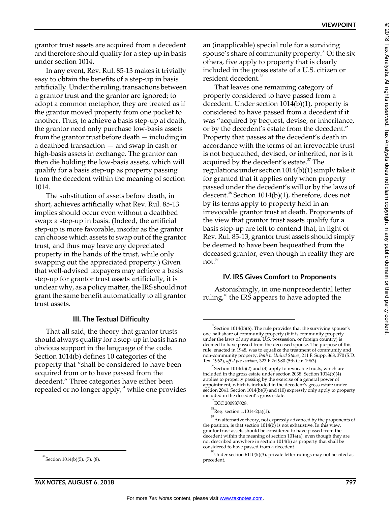grantor trust assets are acquired from a decedent and therefore should qualify for a step-up in basis under section 1014.

In any event, Rev. Rul. 85-13 makes it trivially easy to obtain the benefits of a step-up in basis artificially. Under the ruling, transactions between a grantor trust and the grantor are ignored; to adopt a common metaphor, they are treated as if the grantor moved property from one pocket to another. Thus, to achieve a basis step-up at death, the grantor need only purchase low-basis assets from the grantor trust before death — including in a deathbed transaction — and swap in cash or high-basis assets in exchange. The grantor can then die holding the low-basis assets, which will qualify for a basis step-up as property passing from the decedent within the meaning of section 1014.

The substitution of assets before death, in short, achieves artificially what Rev. Rul. 85-13 implies should occur even without a deathbed swap: a step-up in basis. (Indeed, the artificial step-up is more favorable, insofar as the grantor can choose which assets to swap out of the grantor trust, and thus may leave any depreciated property in the hands of the trust, while only swapping out the appreciated property.) Given that well-advised taxpayers may achieve a basis step-up for grantor trust assets artificially, it is unclear why, as a policy matter, the IRS should not grant the same benefit automatically to all grantor trust assets.

#### **III. The Textual Difficulty**

That all said, the theory that grantor trusts should always qualify for a step-up in basis has no obvious support in the language of the code. Section 1014(b) defines 10 categories of the property that "shall be considered to have been acquired from or to have passed from the decedent." Three categories have either been repealed or no longer apply, $34$  while one provides

an (inapplicable) special rule for a surviving spouse's share of community property. $35$  Of the six others, five apply to property that is clearly included in the gross estate of a U.S. citizen or resident decedent.<sup>36</sup>

That leaves one remaining category of property considered to have passed from a decedent. Under section 1014(b)(1), property is considered to have passed from a decedent if it was "acquired by bequest, devise, or inheritance, or by the decedent's estate from the decedent." Property that passes at the decedent's death in accordance with the terms of an irrevocable trust is not bequeathed, devised, or inherited, nor is it acquired by the decedent's estate.<sup>37</sup> The regulations under section 1014(b)(1) simply take it for granted that it applies only when property passed under the decedent's will or by the laws of descent.<sup>38</sup> Section 1014(b)(1), therefore, does not by its terms apply to property held in an irrevocable grantor trust at death. Proponents of the view that grantor trust assets qualify for a basis step-up are left to contend that, in light of Rev. Rul. 85-13, grantor trust assets should simply be deemed to have been bequeathed from the deceased grantor, even though in reality they are not. $39$ 

#### **IV. IRS Gives Comfort to Proponents**

Astonishingly, in one nonprecedential letter ruling, $40$  the IRS appears to have adopted the

 $34$ Section 1014(b)(5), (7), (8).

 $35$ Section 1014(b)(6). The rule provides that the surviving spouse's one-half share of community property (if it is community property under the laws of any state, U.S. possession, or foreign country) is deemed to have passed from the deceased spouse. The purpose of this rule, enacted in 1948, was to equalize the treatment of community and non-community property. *Bath v. United States*, 211 F. Supp. 368, 370 (S.D.

Tex. 1962), *aff'd per curiam,* 323 F.2d 980 (5th Cir. 1963).<br><sup>36</sup> Section 1014(b)(2) and (3) apply to revocable trusts, which are included in the gross estate under section 2038. Section 1014(b)(4) applies to property passing by the exercise of a general power of appointment, which is included in the decedent's gross estate under section 2041. Section 1014(b)(9) and (10) expressly only apply to property included in the decedent's gross estate.

<sup>37</sup> ECC 200937028.

 $^{38}$ Reg. section 1.1014-2(a)(1).

<sup>&</sup>lt;sup>39</sup> An alternative theory, not expressly advanced by the proponents of the position, is that section 1014(b) is not exhaustive. In this view, grantor trust assets should be considered to have passed from the decedent within the meaning of section 1014(a), even though they are not described anywhere in section 1014(b) as property that shall be considered to have passed from a decedent.

 $^{40}$ Under section 6110(k)(3), private letter rulings may not be cited as precedent.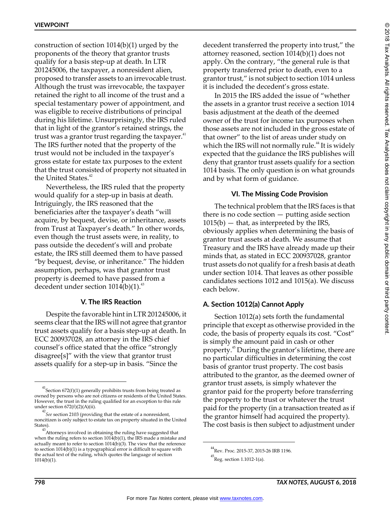construction of section 1014(b)(1) urged by the proponents of the theory that grantor trusts qualify for a basis step-up at death. In LTR 201245006, the taxpayer, a nonresident alien, proposed to transfer assets to an irrevocable trust. Although the trust was irrevocable, the taxpayer retained the right to all income of the trust and a special testamentary power of appointment, and was eligible to receive distributions of principal during his lifetime. Unsurprisingly, the IRS ruled that in light of the grantor's retained strings, the trust was a grantor trust regarding the taxpayer. $41$ The IRS further noted that the property of the trust would not be included in the taxpayer's gross estate for estate tax purposes to the extent that the trust consisted of property not situated in the United States. $42$ 

Nevertheless, the IRS ruled that the property would qualify for a step-up in basis at death. Intriguingly, the IRS reasoned that the beneficiaries after the taxpayer's death "will acquire, by bequest, devise, or inheritance, assets from Trust at Taxpayer's death." In other words, even though the trust assets were, in reality, to pass outside the decedent's will and probate estate, the IRS still deemed them to have passed "by bequest, devise, or inheritance." The hidden assumption, perhaps, was that grantor trust property is deemed to have passed from a decedent under section  $1014(b)(1)$ .<sup>43</sup>

#### **V. The IRS Reaction**

Despite the favorable hint in LTR 201245006, it seems clear that the IRS will not agree that grantor trust assets qualify for a basis step-up at death. In ECC 200937028, an attorney in the IRS chief counsel's office stated that the office "strongly disagree[s]" with the view that grantor trust assets qualify for a step-up in basis. "Since the

decedent transferred the property into trust," the attorney reasoned, section 1014(b)(1) does not apply. On the contrary, "the general rule is that property transferred prior to death, even to a grantor trust," is not subject to section 1014 unless it is included the decedent's gross estate.

In 2015 the IRS added the issue of "whether the assets in a grantor trust receive a section 1014 basis adjustment at the death of the deemed owner of the trust for income tax purposes when those assets are not included in the gross estate of that owner" to the list of areas under study on which the IRS will not normally rule.<sup>44</sup> It is widely expected that the guidance the IRS publishes will deny that grantor trust assets qualify for a section 1014 basis. The only question is on what grounds and by what form of guidance.

#### **VI. The Missing Code Provision**

The technical problem that the IRS faces is that there is no code section  $-$  putting aside section  $1015(b)$  — that, as interpreted by the IRS, obviously applies when determining the basis of grantor trust assets at death. We assume that Treasury and the IRS have already made up their minds that, as stated in ECC 200937028, grantor trust assets do not qualify for a fresh basis at death under section 1014. That leaves as other possible candidates sections 1012 and 1015(a). We discuss each below.

### **A. Section 1012(a) Cannot Apply**

Section 1012(a) sets forth the fundamental principle that except as otherwise provided in the code, the basis of property equals its cost. "Cost" is simply the amount paid in cash or other property.45 During the grantor's lifetime, there are no particular difficulties in determining the cost basis of grantor trust property. The cost basis attributed to the grantor, as the deemed owner of grantor trust assets, is simply whatever the grantor paid for the property before transferring the property to the trust or whatever the trust paid for the property (in a transaction treated as if the grantor himself had acquired the property). The cost basis is then subject to adjustment under

 $^{41}$ Section 672(f)(1) generally prohibits trusts from being treated as owned by persons who are not citizens or residents of the United States. However, the trust in the ruling qualified for an exception to this rule under section 672(f)(2)(A)(ii).

<sup>42</sup> *See* section 2103 (providing that the estate of a nonresident, noncitizen is only subject to estate tax on property situated in the United States).

 $^{43}$ Attorneys involved in obtaining the ruling have suggested that when the ruling refers to section 1014(b)(1), the IRS made a mistake and actually meant to refer to section  $1014(b)(3)$ . The view that the reference to section 1014(b)(1) is a typographical error is difficult to square with the actual text of the ruling, which quotes the language of section 1014(b)(1).

<sup>44</sup> Rev. Proc. 2015-37, 2015-26 IRB 1196.

 $^{45}$ Reg. section 1.1012-1(a).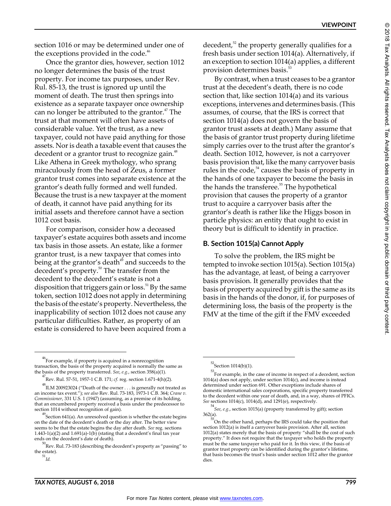section 1016 or may be determined under one of the exceptions provided in the code.<sup>46</sup>

Once the grantor dies, however, section 1012 no longer determines the basis of the trust property. For income tax purposes, under Rev. Rul. 85-13, the trust is ignored up until the moment of death. The trust then springs into existence as a separate taxpayer once ownership can no longer be attributed to the grantor.<sup>47</sup> The trust at that moment will often have assets of considerable value. Yet the trust, as a new taxpayer, could not have paid anything for those assets. Nor is death a taxable event that causes the decedent or a grantor trust to recognize gain.<sup>48</sup> Like Athena in Greek mythology, who sprang miraculously from the head of Zeus, a former grantor trust comes into separate existence at the grantor's death fully formed and well funded. Because the trust is a new taxpayer at the moment of death, it cannot have paid anything for its initial assets and therefore cannot have a section 1012 cost basis.

For comparison, consider how a deceased taxpayer's estate acquires both assets and income tax basis in those assets. An estate, like a former grantor trust, is a new taxpayer that comes into being at the grantor's death<sup>49</sup> and succeeds to the decedent's property.<sup>50</sup> The transfer from the decedent to the decedent's estate is not a disposition that triggers gain or loss.<sup>51</sup> By the same token, section 1012 does not apply in determining the basis of the estate's property. Nevertheless, the inapplicability of section 1012 does not cause any particular difficulties. Rather, as property of an estate is considered to have been acquired from a

decedent,<sup>52</sup> the property generally qualifies for a fresh basis under section 1014(a). Alternatively, if an exception to section 1014(a) applies, a different provision determines basis.<sup>53</sup>

By contrast, when a trust ceases to be a grantor trust at the decedent's death, there is no code section that, like section 1014(a) and its various exceptions, intervenes and determines basis. (This assumes, of course, that the IRS is correct that section 1014(a) does not govern the basis of grantor trust assets at death.) Many assume that the basis of grantor trust property during lifetime simply carries over to the trust after the grantor's death. Section 1012, however, is not a carryover basis provision that, like the many carryover basis rules in the code, $54$  causes the basis of property in the hands of one taxpayer to become the basis in the hands the transferee.<sup>55</sup> The hypothetical provision that causes the property of a grantor trust to acquire a carryover basis after the grantor's death is rather like the Higgs boson in particle physics: an entity that ought to exist in theory but is difficult to identify in practice.

#### **B. Section 1015(a) Cannot Apply**

To solve the problem, the IRS might be tempted to invoke section 1015(a). Section 1015(a) has the advantage, at least, of being a carryover basis provision. It generally provides that the basis of property acquired by gift is the same as its basis in the hands of the donor, if, for purposes of determining loss, the basis of the property is the FMV at the time of the gift if the FMV exceeded

 $52$ Section 1014(b)(1).

<sup>53</sup> For example, in the case of income in respect of a decedent, section 1014(a) does not apply, under section 1014(c), and income is instead determined under section 691. Other exceptions include shares of domestic international sales corporations, specific property transferred to the decedent within one year of death, and, in a way, shares of PFICs. *See* sections 1014(c), 1014(d), and 1291(e), respectively.

<sup>54</sup> *See*, *e.g.*, section 1015(a) (property transferred by gift); section

<sup>362(</sup>a).<br> $\frac{55}{20}$ On the other hand, perhaps the IRS could take the position that section 1012(a) is itself a carryover basis provision. After all, section 1012(a) states merely that the basis of property "shall be the cost of such property." It does not require that the taxpayer who holds the property must be the same taxpayer who paid for it. In this view, if the basis of grantor trust property can be identified during the grantor's lifetime, that basis becomes the trust's basis under section 1012 after the grantor dies.

<sup>46</sup> For example, if property is acquired in a nonrecognition transaction, the basis of the property acquired is normally the same as the basis of the property transferred. *See*, *e.g.*, section 358(a)(1).

<sup>47</sup> Rev. Rul. 57-51, 1957-1 C.B. 171; *cf.* reg. section 1.671-4(h)(2).

 $^{48}$ ILM 200923024 ("Death of the owner  $\ldots$  is generally not treated as an income tax event."); *see also* Rev. Rul. 73-183, 1973-1 C.B. 364; *Crane v. Commissioner*, 331 U.S. 1 (1947) (assuming, as a premise of its holding, that an encumbered property received a basis under the predecessor to section 1014 without recognition of gain).

<sup>49</sup> Section 641(a). An unresolved question is whether the estate begins on the date of the decedent's death or the day after. The better view seems to be that the estate begins the day after death. *See* reg. sections 1.443-1(a)(2) and 1.691(a)-1(b) (stating that a decedent's final tax year ends on the decedent's date of death).

 $^{50}$ Rev. Rul. 73-183 (describing the decedent's property as "passing" to the estate).

<sup>51</sup>*Id.*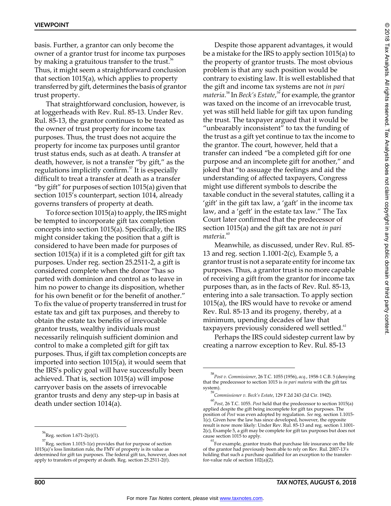basis. Further, a grantor can only become the owner of a grantor trust for income tax purposes by making a gratuitous transfer to the trust.<sup>56</sup> Thus, it might seem a straightforward conclusion that section 1015(a), which applies to property transferred by gift, determines the basis of grantor trust property.

That straightforward conclusion, however, is at loggerheads with Rev. Rul. 85-13. Under Rev. Rul. 85-13, the grantor continues to be treated as the owner of trust property for income tax purposes. Thus, the trust does not acquire the property for income tax purposes until grantor trust status ends, such as at death. A transfer at death, however, is not a transfer "by gift," as the regulations implicitly confirm. $\frac{5}{3}$  It is especially difficult to treat a transfer at death as a transfer "by gift" for purposes of section 1015(a) given that section 1015's counterpart, section 1014, already governs transfers of property at death.

To force section 1015(a) to apply, the IRS might be tempted to incorporate gift tax completion concepts into section 1015(a). Specifically, the IRS might consider taking the position that a gift is considered to have been made for purposes of section 1015(a) if it is a completed gift for gift tax purposes. Under reg. section 25.2511-2, a gift is considered complete when the donor "has so parted with dominion and control as to leave in him no power to change its disposition, whether for his own benefit or for the benefit of another." To fix the value of property transferred in trust for estate tax and gift tax purposes, and thereby to obtain the estate tax benefits of irrevocable grantor trusts, wealthy individuals must necessarily relinquish sufficient dominion and control to make a completed gift for gift tax purposes. Thus, if gift tax completion concepts are imported into section 1015(a), it would seem that the IRS's policy goal will have successfully been achieved. That is, section 1015(a) will impose carryover basis on the assets of irrevocable grantor trusts and deny any step-up in basis at death under section 1014(a).

Despite those apparent advantages, it would be a mistake for the IRS to apply section 1015(a) to the property of grantor trusts. The most obvious problem is that any such position would be contrary to existing law. It is well established that the gift and income tax systems are not *in pari materia*. 58 In *Beck's Estate*, 59 for example, the grantor was taxed on the income of an irrevocable trust, yet was still held liable for gift tax upon funding the trust. The taxpayer argued that it would be "unbearably inconsistent" to tax the funding of the trust as a gift yet continue to tax the income to the grantor. The court, however, held that a transfer can indeed "be a completed gift for one purpose and an incomplete gift for another," and joked that "to assuage the feelings and aid the understanding of affected taxpayers, Congress might use different symbols to describe the taxable conduct in the several statutes, calling it a 'gift' in the gift tax law, a 'gaft' in the income tax law, and a 'geft' in the estate tax law." The Tax Court later confirmed that the predecessor of section 1015(a) and the gift tax are not *in pari materia*. 60

Meanwhile, as discussed, under Rev. Rul. 85- 13 and reg. section 1.1001-2(c), Example 5, a grantor trust is not a separate entity for income tax purposes. Thus, a grantor trust is no more capable of receiving a gift from the grantor for income tax purposes than, as in the facts of Rev. Rul. 85-13, entering into a sale transaction. To apply section 1015(a), the IRS would have to revoke or amend Rev. Rul. 85-13 and its progeny, thereby, at a minimum, upending decades of law that taxpayers previously considered well settled.<sup>61</sup>

Perhaps the IRS could sidestep current law by creating a narrow exception to Rev. Rul. 85-13

 $^{56}$ Reg. section 1.671-2(e)(1).

<sup>57</sup> Reg. section 1.1015-1(e) provides that for purpose of section 1015(a)'s loss limitation rule, the FMV of property is its value as determined for gift tax purposes. The federal gift tax, however, does not apply to transfers of property at death. Reg. section 25.2511-2(f).

<sup>58</sup>*Post v. Commissioner*, 26 T.C. 1055 (1956), *acq.*, 1958-1 C.B. 5 (denying that the predecessor to section 1015 is *in pari materia* with the gift tax system).

<sup>59</sup> *Commissioner v. Beck's Estate*, 129 F.2d 243 (2d Cir. 1942).

<sup>60</sup> *Post*, 26 T.C. 1055. *Post* held that the predecessor to section 1015(a) applied despite the gift being incomplete for gift tax purposes. The position of *Post* was even adopted by regulation. *See* reg. section 1.1015- 1(c). Given how the law has since developed, however, the opposite result is now more likely: Under Rev. Rul. 85-13 and reg. section 1.1001- 2(c), Example 5, a gift may be complete for gift tax purposes but does not cause section 1015 to apply.

 $^{61}$ For example, grantor trusts that purchase life insurance on the life of the grantor had previously been able to rely on Rev. Rul. 2007-13's holding that such a purchase qualified for an exception to the transferfor-value rule of section  $102(a)(2)$ .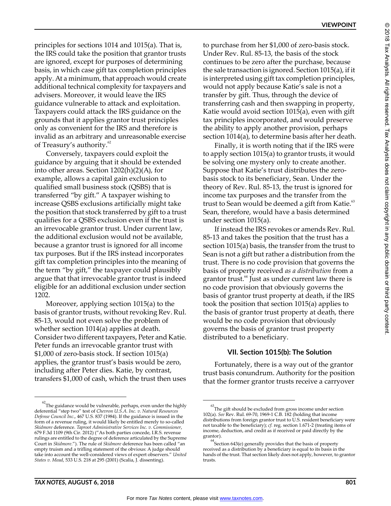principles for sections 1014 and 1015(a). That is, the IRS could take the position that grantor trusts are ignored, except for purposes of determining basis, in which case gift tax completion principles apply. At a minimum, that approach would create additional technical complexity for taxpayers and advisers. Moreover, it would leave the IRS guidance vulnerable to attack and exploitation. Taxpayers could attack the IRS guidance on the grounds that it applies grantor trust principles only as convenient for the IRS and therefore is invalid as an arbitrary and unreasonable exercise of Treasury's authority.<sup>62</sup>

Conversely, taxpayers could exploit the guidance by arguing that it should be extended into other areas. Section 1202(h)(2)(A), for example, allows a capital gain exclusion to qualified small business stock (QSBS) that is transferred "by gift." A taxpayer wishing to increase QSBS exclusions artificially might take the position that stock transferred by gift to a trust qualifies for a QSBS exclusion even if the trust is an irrevocable grantor trust. Under current law, the additional exclusion would not be available, because a grantor trust is ignored for all income tax purposes. But if the IRS instead incorporates gift tax completion principles into the meaning of the term "by gift," the taxpayer could plausibly argue that that irrevocable grantor trust is indeed eligible for an additional exclusion under section 1202.

Moreover, applying section 1015(a) to the basis of grantor trusts, without revoking Rev. Rul. 85-13, would not even solve the problem of whether section 1014(a) applies at death. Consider two different taxpayers, Peter and Katie. Peter funds an irrevocable grantor trust with \$1,000 of zero-basis stock. If section 1015(a) applies, the grantor trust's basis would be zero, including after Peter dies. Katie, by contrast, transfers \$1,000 of cash, which the trust then uses

to purchase from her \$1,000 of zero-basis stock. Under Rev. Rul. 85-13, the basis of the stock continues to be zero after the purchase, because the sale transaction is ignored. Section 1015(a), if it is interpreted using gift tax completion principles, would not apply because Katie's sale is not a transfer by gift. Thus, through the device of transferring cash and then swapping in property, Katie would avoid section 1015(a), even with gift tax principles incorporated, and would preserve the ability to apply another provision, perhaps section 1014(a), to determine basis after her death.

Finally, it is worth noting that if the IRS were to apply section 1015(a) to grantor trusts, it would be solving one mystery only to create another. Suppose that Katie's trust distributes the zerobasis stock to its beneficiary, Sean. Under the theory of Rev. Rul. 85-13, the trust is ignored for income tax purposes and the transfer from the trust to Sean would be deemed a gift from Katie.<sup>63</sup> Sean, therefore, would have a basis determined under section 1015(a).

If instead the IRS revokes or amends Rev. Rul. 85-13 and takes the position that the trust has a section 1015(a) basis, the transfer from the trust to Sean is not a gift but rather a distribution from the trust. There is no code provision that governs the basis of property received *as a distribution* from a grantor trust. $64$  Just as under current law there is no code provision that obviously governs the basis of grantor trust property at death, if the IRS took the position that section 1015(a) applies to the basis of grantor trust property at death, there would be no code provision that obviously governs the basis of grantor trust property distributed to a beneficiary.

# **VII. Section 1015(b): The Solution**

Fortunately, there is a way out of the grantor trust basis conundrum. Authority for the position that the former grantor trusts receive a carryover

 $^{62}$ The guidance would be vulnerable, perhaps, even under the highly deferential "step two" test of *Chevron U.S.A. Inc. v. Natural Resources Defense Council Inc*., 467 U.S. 837 (1984). If the guidance is issued in the form of a revenue ruling, it would likely be entitled merely to so-called *Skidmore* deference. *Taproot Administrative Services Inc. v. Commissioner*, 679 F.3d 1109 (9th Cir. 2012) ("As both parties concede, I.R.S. revenue rulings are entitled to the degree of deference articulated by the Supreme Court in *Skidmore*."). The rule of *Skidmore* deference has been called "an empty truism and a trifling statement of the obvious: A judge should take into account the well-considered views of expert observers." *United States v. Mead*, 533 U.S. 218 at 295 (2001) (Scalia, J. dissenting).

 $^{63}$ The gift should be excluded from gross income under section 102(a). *See* Rev. Rul. 69-70, 1969-1 C.B. 182 (holding that income distributions from foreign grantor trust to U.S. resident beneficiary were not taxable to the beneficiary); *cf.* reg. section 1.671-2 (treating items of income, deduction, and credit as if received or paid directly by the grantor).

<sup>64</sup> Section 643(e) generally provides that the basis of property received as a distribution by a beneficiary is equal to its basis in the hands of the trust. That section likely does not apply, however, to grantor trusts.